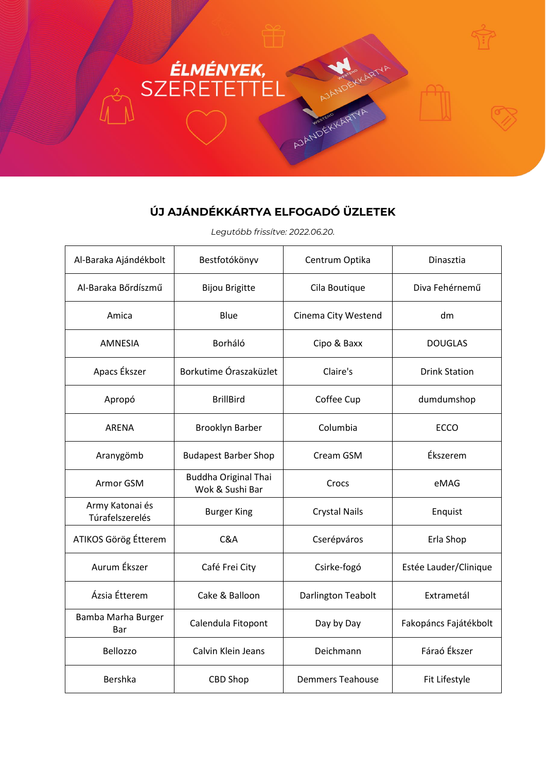## ELMÉNYEK, AJANDEKKAART

## **ÚJ AJÁNDÉKKÁRTYA ELFOGADÓ ÜZLETEK**

*Legutóbb frissítve: 2022.06.20.*

| Al-Baraka Ajándékbolt              | Bestfotókönyv                                  | Centrum Optika          | Dinasztia             |
|------------------------------------|------------------------------------------------|-------------------------|-----------------------|
| Al-Baraka Bőrdíszmű                | <b>Bijou Brigitte</b>                          | Cila Boutique           | Diva Fehérnemű        |
| Amica                              | Blue                                           | Cinema City Westend     | dm                    |
| <b>AMNESIA</b>                     | Borháló                                        | Cipo & Baxx             | <b>DOUGLAS</b>        |
| Apacs Ékszer                       | Borkutime Óraszaküzlet                         | Claire's                | <b>Drink Station</b>  |
| Apropó                             | <b>BrillBird</b>                               | Coffee Cup              | dumdumshop            |
| <b>ARENA</b>                       | <b>Brooklyn Barber</b>                         | Columbia                | <b>ECCO</b>           |
| Aranygömb                          | <b>Budapest Barber Shop</b>                    | Cream GSM               | Ékszerem              |
| Armor GSM                          | <b>Buddha Original Thai</b><br>Wok & Sushi Bar | Crocs                   | eMAG                  |
| Army Katonai és<br>Túrafelszerelés | <b>Burger King</b>                             | <b>Crystal Nails</b>    | Enquist               |
| ATIKOS Görög Étterem               | C&A                                            | Cserépváros             | Erla Shop             |
| Aurum Ékszer                       | Café Frei City                                 | Csirke-fogó             | Estée Lauder/Clinique |
| Ázsia Étterem                      | Cake & Balloon                                 | Darlington Teabolt      | Extrametál            |
| Bamba Marha Burger<br>Bar          | Calendula Fitopont                             | Day by Day              | Fakopáncs Fajátékbolt |
| Bellozzo                           | Calvin Klein Jeans                             | Deichmann               | Fáraó Ékszer          |
| <b>Bershka</b>                     | <b>CBD Shop</b>                                | <b>Demmers Teahouse</b> | Fit Lifestyle         |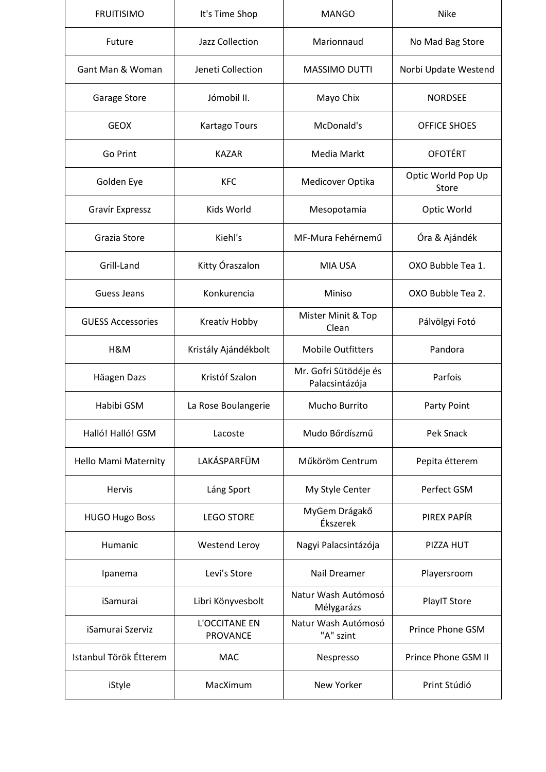| <b>FRUITISIMO</b>           | It's Time Shop                   | <b>MANGO</b>                            | <b>Nike</b>                 |
|-----------------------------|----------------------------------|-----------------------------------------|-----------------------------|
| Future                      | Jazz Collection                  | Marionnaud                              | No Mad Bag Store            |
| Gant Man & Woman            | Jeneti Collection                | MASSIMO DUTTI                           | Norbi Update Westend        |
| Garage Store                | Jómobil II.                      | Mayo Chix                               | <b>NORDSEE</b>              |
| <b>GEOX</b>                 | <b>Kartago Tours</b>             | McDonald's                              | OFFICE SHOES                |
| Go Print                    | <b>KAZAR</b>                     | Media Markt                             | <b>OFOTÉRT</b>              |
| Golden Eye                  | <b>KFC</b>                       | Medicover Optika                        | Optic World Pop Up<br>Store |
| Gravír Expressz             | Kids World                       | Mesopotamia                             | Optic World                 |
| Grazia Store                | Kiehl's                          | MF-Mura Fehérnemű                       | Óra & Ajándék               |
| Grill-Land                  | Kitty Óraszalon                  | <b>MIA USA</b>                          | OXO Bubble Tea 1.           |
| Guess Jeans                 | Konkurencia                      | Miniso                                  | OXO Bubble Tea 2.           |
| <b>GUESS Accessories</b>    | Kreatív Hobby                    | Mister Minit & Top<br>Clean             | Pálvölgyi Fotó              |
| H&M                         | Kristály Ajándékbolt             | <b>Mobile Outfitters</b>                | Pandora                     |
| Häagen Dazs                 | Kristóf Szalon                   | Mr. Gofri Sütödéje és<br>Palacsintázója | Parfois                     |
| Habibi GSM                  | La Rose Boulangerie              | Mucho Burrito                           | Party Point                 |
| Halló! Halló! GSM           | Lacoste                          | Mudo Bőrdíszmű                          | <b>Pek Snack</b>            |
| <b>Hello Mami Maternity</b> | LAKÁSPARFÜM                      | Műköröm Centrum                         | Pepita étterem              |
| Hervis                      | Láng Sport                       | My Style Center                         | Perfect GSM                 |
| <b>HUGO Hugo Boss</b>       | <b>LEGO STORE</b>                | MyGem Drágakő<br>Ékszerek               | PIREX PAPÍR                 |
| Humanic                     | Westend Leroy                    | Nagyi Palacsintázója                    | PIZZA HUT                   |
| Ipanema                     | Levi's Store                     | Nail Dreamer                            | Playersroom                 |
| iSamurai                    | Libri Könyvesbolt                | Natur Wash Autómosó<br>Mélygarázs       | PlayIT Store                |
| iSamurai Szerviz            | L'OCCITANE EN<br><b>PROVANCE</b> | Natur Wash Autómosó<br>"A" szint        | Prince Phone GSM            |
| Istanbul Török Étterem      | <b>MAC</b>                       | Nespresso                               | Prince Phone GSM II         |
| iStyle                      | MacXimum                         | New Yorker                              | Print Stúdió                |